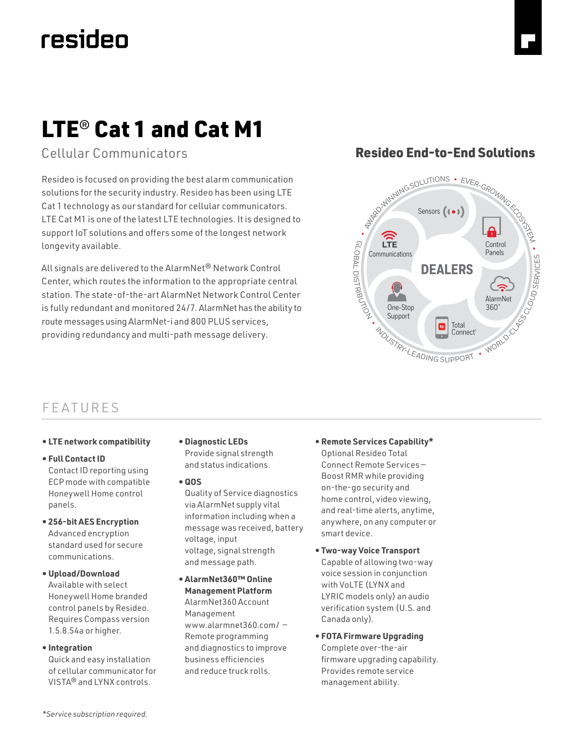# resideo

Cellular Communicators

Resideo is focused on providing the best alarm communication solutions for the security industry. Resideo has been using LTE Cat 1 technology as our standard for cellular communicators. LTE Cat M1 is one of the latest LTE technologies. It is designed to support IoT solutions and offers some of the longest network longevity available.

All signals are delivered to the AlarmNet® Network Control Center, which routes the information to the appropriate central station. The state-of-the-art AlarmNet Network Control Center is fully redundant and monitored 24/7. AlarmNet has the ability to route messages using AlarmNet-i and 800 PLUS services, providing redundancy and multi-path message delivery.

# **Honeywell End-to-End Solution** Resideo End-to-End Solutions



## FEATURES

**• LTE network compatibility**

#### **• Full Contact ID**

Contact ID reporting using ECP mode with compatible Honeywell Home control panels.

- **256-bit AES Encryption** Advanced encryption standard used for secure communications.
- **Upload/Download** Available with select Honeywell Home branded control panels by Resideo. Requires Compass version 1.5.8.54a or higher.
- **Integration**

Quick and easy installation of cellular communicator for VISTA® and LYNX controls.

- **Diagnostic LEDs** Provide signal strength and status indications.
- **QOS**

Quality of Service diagnostics via AlarmNet supply vital information including when a message was received, battery voltage, input voltage, signal strength and message path.

- **AlarmNet360™ Online Management Platform** AlarmNet360 Account Management www.alarmnet360.com/ — Remote programming and diagnostics to improve business efficiencies and reduce truck rolls.
- **Remote Services Capability\*** Optional Resideo Total Connect Remote Services — Boost RMR while providing on-the-go security and home control, video viewing, and real-time alerts, anytime, anywhere, on any computer or smart device.
- **Two-way Voice Transport** Capable of allowing two-way voice session in conjunction with VoLTE (LYNX and LYRIC models only) an audio verification system (U.S. and Canada only).
- **FOTA Firmware Upgrading** Complete over-the-air firmware upgrading capability. Provides remote service management ability.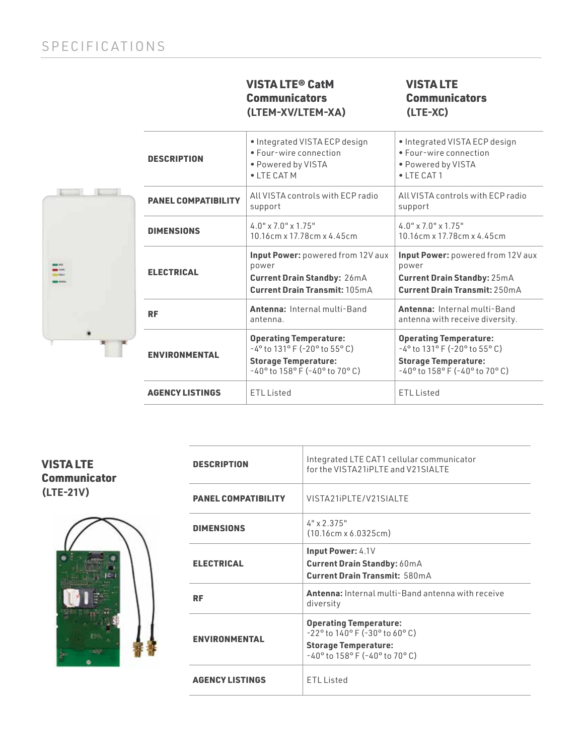#### VISTA LTE® CatM **Communicators (LTEM-XV/LTEM-XA)**

### VISTA LTE **Communicators (LTE-XC)**

| I |  |  |
|---|--|--|
|   |  |  |

| <b>DESCRIPTION</b>                                                                                                                                                                 | . Integrated VISTA ECP design<br>• Four-wire connection<br>• Powered by VISTA<br>• LTE CAT M                      | . Integrated VISTA ECP design<br>• Four-wire connection<br>• Powered by VISTA<br>$\bullet$   TF CAT 1                                                      |  |  |
|------------------------------------------------------------------------------------------------------------------------------------------------------------------------------------|-------------------------------------------------------------------------------------------------------------------|------------------------------------------------------------------------------------------------------------------------------------------------------------|--|--|
| <b>PANEL COMPATIBILITY</b>                                                                                                                                                         | All VISTA controls with FCP radio<br>support                                                                      | All VISTA controls with FCP radio<br>support                                                                                                               |  |  |
| <b>DIMENSIONS</b>                                                                                                                                                                  | $4.0$ " x $7.0$ " x $1.75$ "<br>10.16cm x 17.78cm x 4.45cm                                                        | $4.0'' \times 7.0'' \times 1.75''$<br>10.16cm x 17.78cm x 4.45cm                                                                                           |  |  |
| <b>ELECTRICAL</b>                                                                                                                                                                  | Input Power: powered from 12V aux<br>power<br><b>Current Drain Standby: 26mA</b><br>Current Drain Transmit: 105mA | <b>Input Power:</b> powered from 12V aux<br>power<br><b>Current Drain Standby: 25mA</b><br>Current Drain Transmit: 250mA                                   |  |  |
| <b>RF</b>                                                                                                                                                                          | Antenna: Internal multi-Band<br>antenna.                                                                          | Antenna: Internal multi-Band<br>antenna with receive diversity.                                                                                            |  |  |
| <b>Operating Temperature:</b><br>$-4^{\circ}$ to 131° F (-20° to 55° C)<br><b>ENVIRONMENTAL</b><br><b>Storage Temperature:</b><br>$-40^{\circ}$ to $158^{\circ}$ F (-40° to 70° C) |                                                                                                                   | <b>Operating Temperature:</b><br>$-4^{\circ}$ to 131° F (-20° to 55° C)<br><b>Storage Temperature:</b><br>$-40^{\circ}$ to $158^{\circ}$ F (-40° to 70° C) |  |  |
| <b>AGENCY LISTINGS</b><br><b>ETL Listed</b>                                                                                                                                        |                                                                                                                   | <b>ETL Listed</b>                                                                                                                                          |  |  |

| <b>VISTA LTE</b>    |
|---------------------|
| <b>Communicator</b> |
| $(LTE-21V)$         |



| <b>DESCRIPTION</b>         | Integrated LTE CAT1 cellular communicator<br>for the VISTA21iPLTE and V21SIALTE                                                                                               |  |  |
|----------------------------|-------------------------------------------------------------------------------------------------------------------------------------------------------------------------------|--|--|
| <b>PANEL COMPATIBILITY</b> | VISTA21iPLTE/V21SIALTE                                                                                                                                                        |  |  |
| <b>DIMENSIONS</b>          | $4" \times 2.375"$<br>$(10.16cm \times 6.0325cm)$                                                                                                                             |  |  |
| <b>ELECTRICAL</b>          | Input Power: 4.1V<br><b>Current Drain Standby: 60mA</b><br>Current Drain Transmit: 580mA                                                                                      |  |  |
| RF                         | <b>Antenna:</b> Internal multi-Band antenna with receive<br>diversity                                                                                                         |  |  |
| <b>ENVIRONMENTAL</b>       | <b>Operating Temperature:</b><br>$-22^{\circ}$ to $140^{\circ}$ F ( $-30^{\circ}$ to 60°C)<br><b>Storage Temperature:</b><br>$-40^{\circ}$ to $158^{\circ}$ F (-40° to 70° C) |  |  |
| <b>AGENCY LISTINGS</b>     | <b>ETL Listed</b>                                                                                                                                                             |  |  |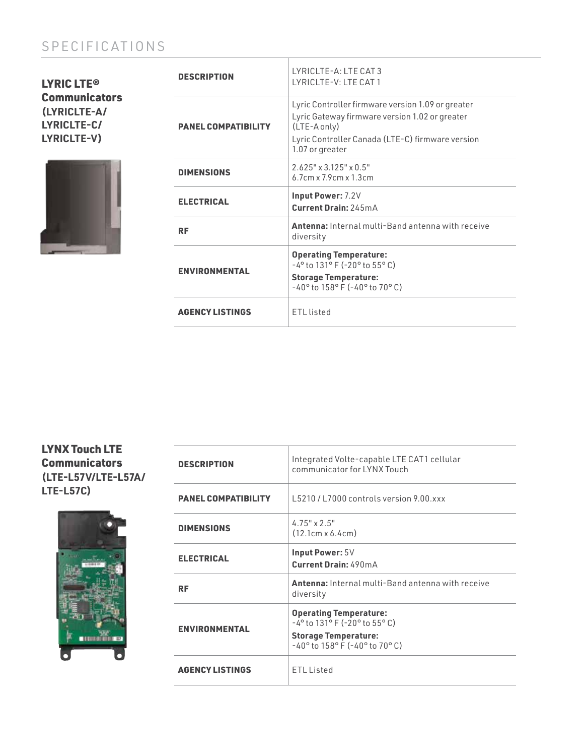## SPECIFICATIONS

LYRIC LTE® **Communicators (LYRICLTE-A/ LYRICLTE-C/ LYRICLTE-V)**



| <b>DESCRIPTION</b>         | $I Y RICI TF-A: I T F CAT 3$<br>I YRICI TF-V: I TF CAT 1                                                                                                                                   |  |  |
|----------------------------|--------------------------------------------------------------------------------------------------------------------------------------------------------------------------------------------|--|--|
| <b>PANEL COMPATIBILITY</b> | Lyric Controller firmware version 1.09 or greater<br>Lyric Gateway firmware version 1.02 or greater<br>(LTE-A only)<br>Lyric Controller Canada (LTE-C) firmware version<br>1.07 or greater |  |  |
| <b>DIMENSIONS</b>          | $2.625" \times 3.125" \times 0.5"$<br>$6.7cm \times 7.9cm \times 1.3cm$                                                                                                                    |  |  |
| <b>ELECTRICAL</b>          | <b>Input Power: 7.2V</b><br>Current Drain: 245mA                                                                                                                                           |  |  |
| <b>RF</b>                  | <b>Antenna:</b> Internal multi-Band antenna with receive<br>diversity                                                                                                                      |  |  |
| <b>ENVIRONMENTAL</b>       | <b>Operating Temperature:</b><br>$-4^{\circ}$ to 131° F (-20° to 55° C)<br><b>Storage Temperature:</b><br>$-40^{\circ}$ to $158^{\circ}$ F (-40° to 70° C)                                 |  |  |
| <b>AGENCY LISTINGS</b>     | FTI listed                                                                                                                                                                                 |  |  |

#### LYNX Touch LTE **Communicators (LTE-L57V/LTE-L57A/ LTE-L57C)**



| <b>DESCRIPTION</b>         | Integrated Volte-capable LTE CAT1 cellular<br>communicator for I YNX Touch                                                                                 |
|----------------------------|------------------------------------------------------------------------------------------------------------------------------------------------------------|
| <b>PANEL COMPATIBILITY</b> | L5210/L7000 controls version 9.00.xxx                                                                                                                      |
| <b>DIMENSIONS</b>          | $4.75" \times 2.5"$<br>(12.1cm x 6.4cm)                                                                                                                    |
| <b>ELECTRICAL</b>          | Input Power: 5V<br>Current Drain: 490mA                                                                                                                    |
| RF                         | <b>Antenna:</b> Internal multi-Band antenna with receive<br>diversity                                                                                      |
| <b>ENVIRONMENTAL</b>       | <b>Operating Temperature:</b><br>$-4^{\circ}$ to 131° F (-20° to 55° C)<br><b>Storage Temperature:</b><br>$-40^{\circ}$ to $158^{\circ}$ F (-40° to 70° C) |
| <b>AGENCY LISTINGS</b>     | FTI Listed                                                                                                                                                 |